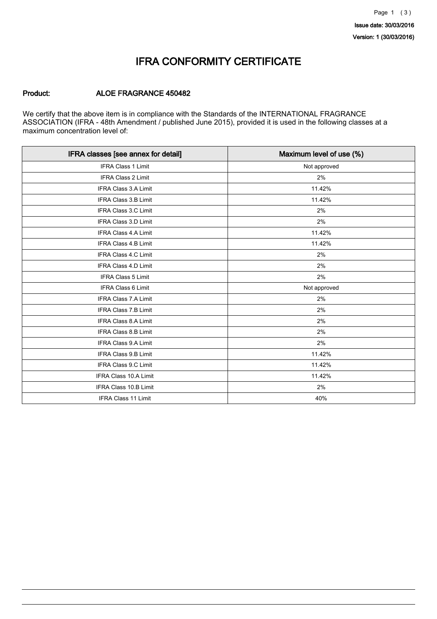### IFRA CONFORMITY CERTIFICATE

#### Product: ALOE FRAGRANCE 450482

We certify that the above item is in compliance with the Standards of the INTERNATIONAL FRAGRANCE ASSOCIATION (IFRA - 48th Amendment / published June 2015), provided it is used in the following classes at a maximum concentration level of:

| IFRA classes [see annex for detail] | Maximum level of use (%) |
|-------------------------------------|--------------------------|
| <b>IFRA Class 1 Limit</b>           | Not approved             |
| <b>IFRA Class 2 Limit</b>           | 2%                       |
| <b>IFRA Class 3.A Limit</b>         | 11.42%                   |
| IFRA Class 3.B Limit                | 11.42%                   |
| IFRA Class 3.C Limit                | 2%                       |
| <b>IFRA Class 3.D Limit</b>         | 2%                       |
| <b>IFRA Class 4.A Limit</b>         | 11.42%                   |
| <b>IFRA Class 4.B Limit</b>         | 11.42%                   |
| IFRA Class 4.C Limit                | 2%                       |
| IFRA Class 4.D Limit                | 2%                       |
| <b>IFRA Class 5 Limit</b>           | 2%                       |
| <b>IFRA Class 6 Limit</b>           | Not approved             |
| <b>IFRA Class 7.A Limit</b>         | 2%                       |
| <b>IFRA Class 7.B Limit</b>         | 2%                       |
| <b>IFRA Class 8.A Limit</b>         | 2%                       |
| <b>IFRA Class 8.B Limit</b>         | 2%                       |
| IFRA Class 9.A Limit                | 2%                       |
| IFRA Class 9.B Limit                | 11.42%                   |
| IFRA Class 9.C Limit                | 11.42%                   |
| IFRA Class 10.A Limit               | 11.42%                   |
| IFRA Class 10.B Limit               | 2%                       |
| IFRA Class 11 Limit                 | 40%                      |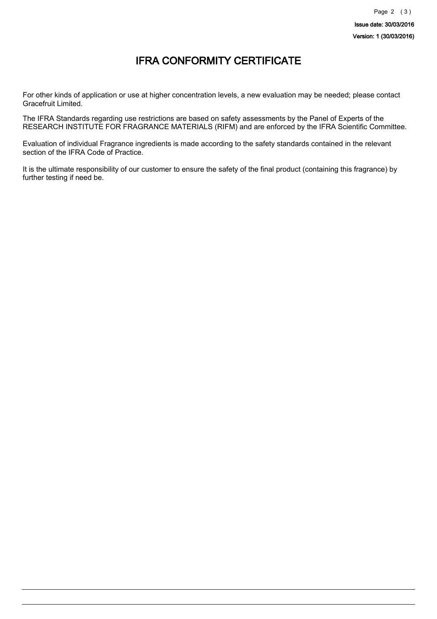## IFRA CONFORMITY CERTIFICATE

For other kinds of application or use at higher concentration levels, a new evaluation may be needed; please contact Gracefruit Limited.

The IFRA Standards regarding use restrictions are based on safety assessments by the Panel of Experts of the RESEARCH INSTITUTE FOR FRAGRANCE MATERIALS (RIFM) and are enforced by the IFRA Scientific Committee.

Evaluation of individual Fragrance ingredients is made according to the safety standards contained in the relevant section of the IFRA Code of Practice.

It is the ultimate responsibility of our customer to ensure the safety of the final product (containing this fragrance) by further testing if need be.